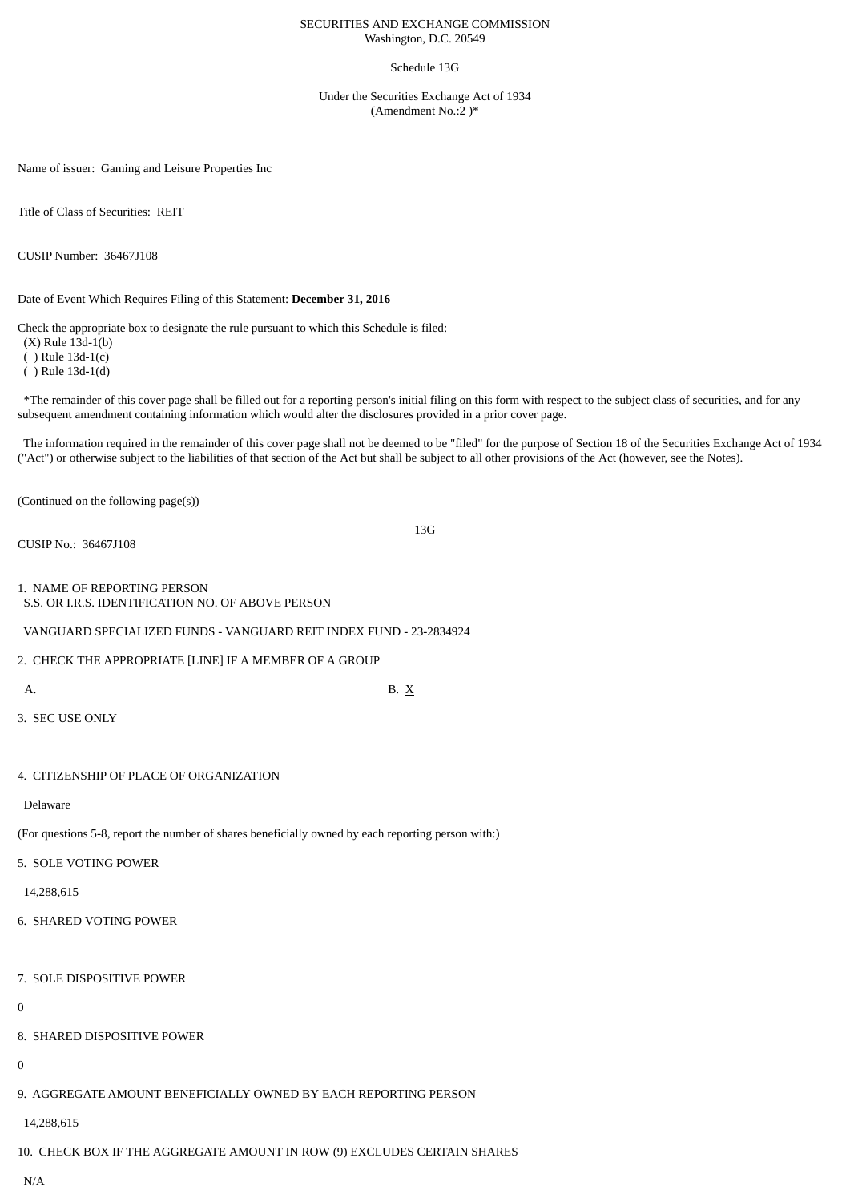## SECURITIES AND EXCHANGE COMMISSION Washington, D.C. 20549

### Schedule 13G

Under the Securities Exchange Act of 1934 (Amendment No.:2 )\*

Name of issuer: Gaming and Leisure Properties Inc

Title of Class of Securities: REIT

CUSIP Number: 36467J108

Date of Event Which Requires Filing of this Statement: **December 31, 2016**

Check the appropriate box to designate the rule pursuant to which this Schedule is filed:

(X) Rule 13d-1(b)

( ) Rule 13d-1(c)

( ) Rule 13d-1(d)

\*The remainder of this cover page shall be filled out for a reporting person's initial filing on this form with respect to the subject class of securities, and for any subsequent amendment containing information which would alter the disclosures provided in a prior cover page.

The information required in the remainder of this cover page shall not be deemed to be "filed" for the purpose of Section 18 of the Securities Exchange Act of 1934 ("Act") or otherwise subject to the liabilities of that section of the Act but shall be subject to all other provisions of the Act (however, see the Notes).

13G

(Continued on the following page(s))

CUSIP No.: 36467J108

1. NAME OF REPORTING PERSON

S.S. OR I.R.S. IDENTIFICATION NO. OF ABOVE PERSON

VANGUARD SPECIALIZED FUNDS - VANGUARD REIT INDEX FUND - 23-2834924

2. CHECK THE APPROPRIATE [LINE] IF A MEMBER OF A GROUP

A. B.  $X$ 

3. SEC USE ONLY

# 4. CITIZENSHIP OF PLACE OF ORGANIZATION

Delaware

(For questions 5-8, report the number of shares beneficially owned by each reporting person with:)

5. SOLE VOTING POWER

14,288,615

6. SHARED VOTING POWER

7. SOLE DISPOSITIVE POWER

 $\Omega$ 

8. SHARED DISPOSITIVE POWER

 $\theta$ 

9. AGGREGATE AMOUNT BENEFICIALLY OWNED BY EACH REPORTING PERSON

14,288,615

10. CHECK BOX IF THE AGGREGATE AMOUNT IN ROW (9) EXCLUDES CERTAIN SHARES

N/A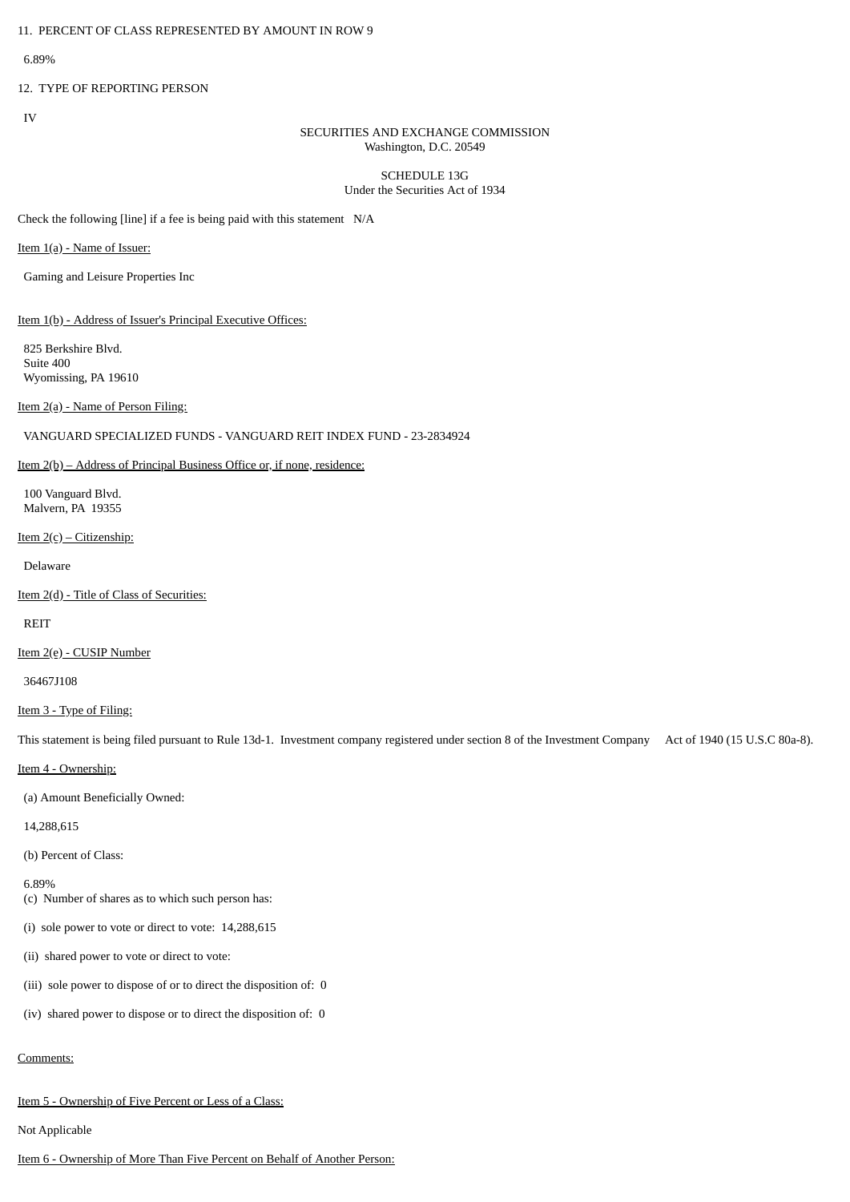6.89%

# 12. TYPE OF REPORTING PERSON

IV

# SECURITIES AND EXCHANGE COMMISSION Washington, D.C. 20549

## SCHEDULE 13G Under the Securities Act of 1934

Check the following [line] if a fee is being paid with this statement N/A

Item 1(a) - Name of Issuer:

Gaming and Leisure Properties Inc

Item 1(b) - Address of Issuer's Principal Executive Offices:

825 Berkshire Blvd. Suite 400 Wyomissing, PA 19610

Item 2(a) - Name of Person Filing:

# VANGUARD SPECIALIZED FUNDS - VANGUARD REIT INDEX FUND - 23-2834924

### Item 2(b) – Address of Principal Business Office or, if none, residence:

100 Vanguard Blvd. Malvern, PA 19355

#### Item  $2(c)$  – Citizenship:

Delaware

Item 2(d) - Title of Class of Securities:

REIT

#### Item 2(e) - CUSIP Number

36467J108

# Item 3 - Type of Filing:

This statement is being filed pursuant to Rule 13d-1. Investment company registered under section 8 of the Investment Company Act of 1940 (15 U.S.C 80a-8).

Item 4 - Ownership:

(a) Amount Beneficially Owned:

14,288,615

(b) Percent of Class:

6.89%

(c) Number of shares as to which such person has:

(i) sole power to vote or direct to vote: 14,288,615

(ii) shared power to vote or direct to vote:

(iii) sole power to dispose of or to direct the disposition of: 0

(iv) shared power to dispose or to direct the disposition of: 0

# Comments:

Item 5 - Ownership of Five Percent or Less of a Class:

Not Applicable

Item 6 - Ownership of More Than Five Percent on Behalf of Another Person: